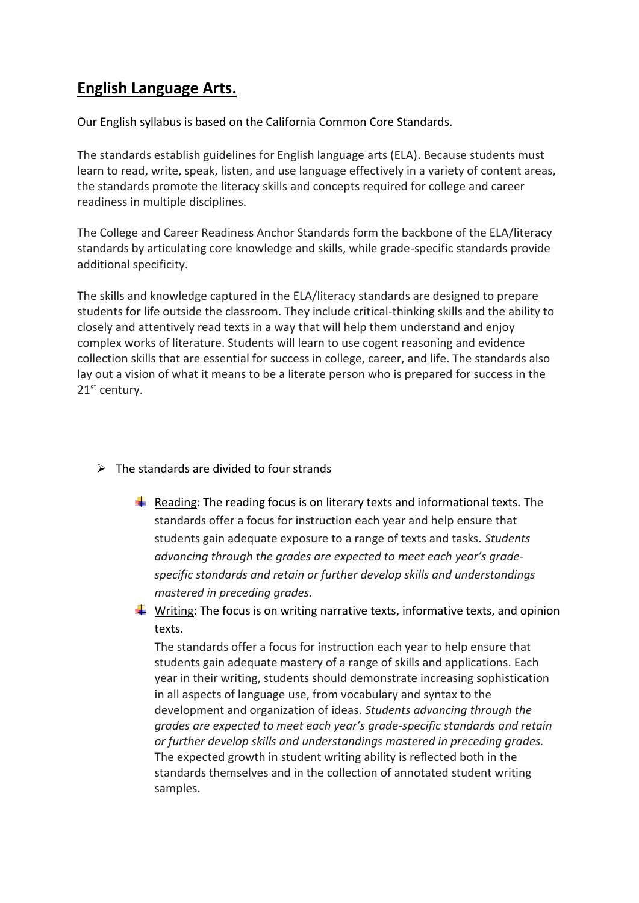## **English Language Arts.**

Our English syllabus is based on the California Common Core Standards.

The standards establish guidelines for English language arts (ELA). Because students must learn to read, write, speak, listen, and use language effectively in a variety of content areas, the standards promote the literacy skills and concepts required for college and career readiness in multiple disciplines.

The College and Career Readiness Anchor Standards form the backbone of the ELA/literacy standards by articulating core knowledge and skills, while grade-specific standards provide additional specificity.

The skills and knowledge captured in the ELA/literacy standards are designed to prepare students for life outside the classroom. They include critical-thinking skills and the ability to closely and attentively read texts in a way that will help them understand and enjoy complex works of literature. Students will learn to use cogent reasoning and evidence collection skills that are essential for success in college, career, and life. The standards also lay out a vision of what it means to be a literate person who is prepared for success in the 21<sup>st</sup> century.

- $\triangleright$  The standards are divided to four strands
	- $\ddot{+}$  Reading: The reading focus is on literary texts and informational texts. The standards offer a focus for instruction each year and help ensure that students gain adequate exposure to a range of texts and tasks. *Students advancing through the grades are expected to meet each year's gradespecific standards and retain or further develop skills and understandings mastered in preceding grades.*
	- $\frac{1}{\sqrt{2}}$  Writing: The focus is on writing narrative texts, informative texts, and opinion texts.

The standards offer a focus for instruction each year to help ensure that students gain adequate mastery of a range of skills and applications. Each year in their writing, students should demonstrate increasing sophistication in all aspects of language use, from vocabulary and syntax to the development and organization of ideas. *Students advancing through the grades are expected to meet each year's grade-specific standards and retain or further develop skills and understandings mastered in preceding grades.* The expected growth in student writing ability is reflected both in the standards themselves and in the collection of annotated student writing samples.